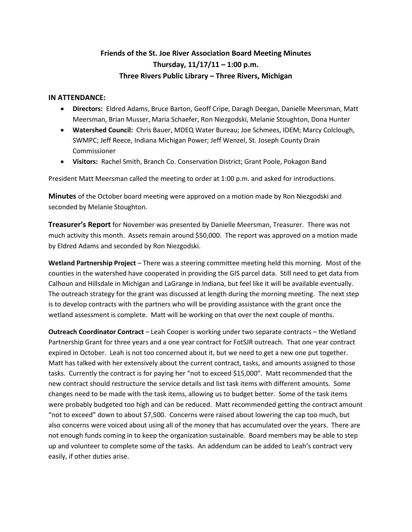## **Friends of the St. Joe River Association Board Meeting Minutes Thursday, 11/17/11 – 1:00 p.m. Three Rivers Public Library – Three Rivers, Michigan**

## **IN ATTENDANCE:**

- **Directors:** Eldred Adams, Bruce Barton, Geoff Cripe, Daragh Deegan, Danielle Meersman, Matt Meersman, Brian Musser, Maria Schaefer, Ron Niezgodski, Melanie Stoughton, Dona Hunter
- **Watershed Council:** Chris Bauer, MDEQ Water Bureau; Joe Schmees, IDEM; Marcy Colclough, SWMPC; Jeff Reece, Indiana Michigan Power; Jeff Wenzel, St. Joseph County Drain Commissioner
- **Visitors:** Rachel Smith, Branch Co. Conservation District; Grant Poole, Pokagon Band

President Matt Meersman called the meeting to order at 1:00 p.m. and asked for introductions.

**Minutes** of the October board meeting were approved on a motion made by Ron Niezgodski and seconded by Melanie Stoughton.

**Treasurer's Report** for November was presented by Danielle Meersman, Treasurer. There was not much activity this month. Assets remain around \$50,000. The report was approved on a motion made by Eldred Adams and seconded by Ron Niezgodski.

**Wetland Partnership Project** – There was a steering committee meeting held this morning. Most of the counties in the watershed have cooperated in providing the GIS parcel data. Still need to get data from Calhoun and Hillsdale in Michigan and LaGrange in Indiana, but feel like it will be available eventually. The outreach strategy for the grant was discussed at length during the morning meeting. The next step is to develop contracts with the partners who will be providing assistance with the grant once the wetland assessment is complete. Matt will be working on that over the next couple of months.

**Outreach Coordinator Contract** – Leah Cooper is working under two separate contracts – the Wetland Partnership Grant for three years and a one year contract for FotSJR outreach. That one year contract expired in October. Leah is not too concerned about it, but we need to get a new one put together. Matt has talked with her extensively about the current contract, tasks, and amounts assigned to those tasks. Currently the contract is for paying her "not to exceed \$15,000". Matt recommended that the new contract should restructure the service details and list task items with different amounts. Some changes need to be made with the task items, allowing us to budget better. Some of the task items were probably budgeted too high and can be reduced. Matt recommended getting the contract amount "not to exceed" down to about \$7,500. Concerns were raised about lowering the cap too much, but also concerns were voiced about using all of the money that has accumulated over the years. There are not enough funds coming in to keep the organization sustainable. Board members may be able to step up and volunteer to complete some of the tasks. An addendum can be added to Leah's contract very easily, if other duties arise.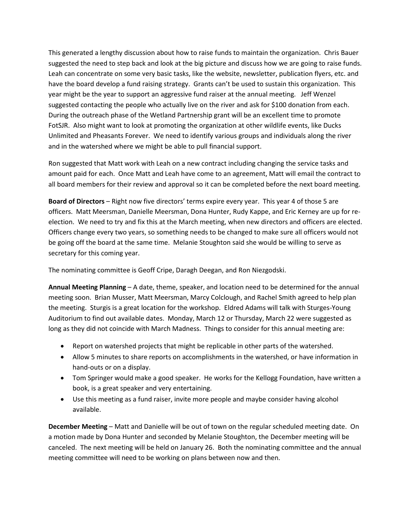This generated a lengthy discussion about how to raise funds to maintain the organization. Chris Bauer suggested the need to step back and look at the big picture and discuss how we are going to raise funds. Leah can concentrate on some very basic tasks, like the website, newsletter, publication flyers, etc. and have the board develop a fund raising strategy. Grants can't be used to sustain this organization. This year might be the year to support an aggressive fund raiser at the annual meeting. Jeff Wenzel suggested contacting the people who actually live on the river and ask for \$100 donation from each. During the outreach phase of the Wetland Partnership grant will be an excellent time to promote FotSJR. Also might want to look at promoting the organization at other wildlife events, like Ducks Unlimited and Pheasants Forever. We need to identify various groups and individuals along the river and in the watershed where we might be able to pull financial support.

Ron suggested that Matt work with Leah on a new contract including changing the service tasks and amount paid for each. Once Matt and Leah have come to an agreement, Matt will email the contract to all board members for their review and approval so it can be completed before the next board meeting.

**Board of Directors** – Right now five directors' terms expire every year. This year 4 of those 5 are officers. Matt Meersman, Danielle Meersman, Dona Hunter, Rudy Kappe, and Eric Kerney are up for reelection. We need to try and fix this at the March meeting, when new directors and officers are elected. Officers change every two years, so something needs to be changed to make sure all officers would not be going off the board at the same time. Melanie Stoughton said she would be willing to serve as secretary for this coming year.

The nominating committee is Geoff Cripe, Daragh Deegan, and Ron Niezgodski.

**Annual Meeting Planning** – A date, theme, speaker, and location need to be determined for the annual meeting soon. Brian Musser, Matt Meersman, Marcy Colclough, and Rachel Smith agreed to help plan the meeting. Sturgis is a great location for the workshop. Eldred Adams will talk with Sturges-Young Auditorium to find out available dates. Monday, March 12 or Thursday, March 22 were suggested as long as they did not coincide with March Madness. Things to consider for this annual meeting are:

- Report on watershed projects that might be replicable in other parts of the watershed.
- Allow 5 minutes to share reports on accomplishments in the watershed, or have information in hand-outs or on a display.
- Tom Springer would make a good speaker. He works for the Kellogg Foundation, have written a book, is a great speaker and very entertaining.
- Use this meeting as a fund raiser, invite more people and maybe consider having alcohol available.

**December Meeting** – Matt and Danielle will be out of town on the regular scheduled meeting date. On a motion made by Dona Hunter and seconded by Melanie Stoughton, the December meeting will be canceled. The next meeting will be held on January 26. Both the nominating committee and the annual meeting committee will need to be working on plans between now and then.